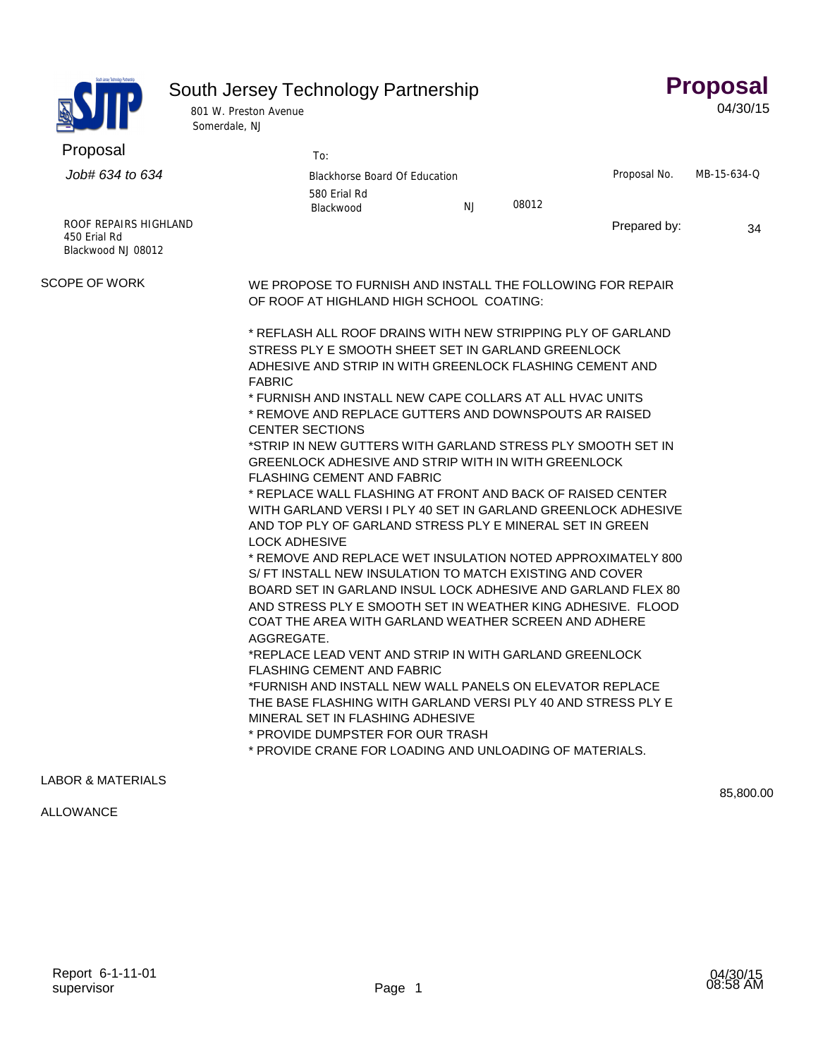|  | South Jersey Technology Partnership |
|--|-------------------------------------|
|--|-------------------------------------|

**Proposal**  04/30/15

| South Jersey Technology Partnership |
|-------------------------------------|
| Proposal                            |

801 W. Preston Avenue Somerdale, NJ

| Proposal                                                    | To:                                                                                                                                                                                                                                                                                                                                                                                                                                                                                                                                                                                                                                                                                                                                                                                                                                                                                                                                                                                   |           |       |              |             |  |  |
|-------------------------------------------------------------|---------------------------------------------------------------------------------------------------------------------------------------------------------------------------------------------------------------------------------------------------------------------------------------------------------------------------------------------------------------------------------------------------------------------------------------------------------------------------------------------------------------------------------------------------------------------------------------------------------------------------------------------------------------------------------------------------------------------------------------------------------------------------------------------------------------------------------------------------------------------------------------------------------------------------------------------------------------------------------------|-----------|-------|--------------|-------------|--|--|
| Job# 634 to 634                                             | Blackhorse Board Of Education                                                                                                                                                                                                                                                                                                                                                                                                                                                                                                                                                                                                                                                                                                                                                                                                                                                                                                                                                         |           |       | Proposal No. | MB-15-634-Q |  |  |
|                                                             | 580 Erial Rd<br>Blackwood                                                                                                                                                                                                                                                                                                                                                                                                                                                                                                                                                                                                                                                                                                                                                                                                                                                                                                                                                             | <b>NJ</b> | 08012 |              |             |  |  |
| ROOF REPAIRS HIGHLAND<br>450 Erial Rd<br>Blackwood NJ 08012 |                                                                                                                                                                                                                                                                                                                                                                                                                                                                                                                                                                                                                                                                                                                                                                                                                                                                                                                                                                                       |           |       | Prepared by: | 34          |  |  |
| <b>SCOPE OF WORK</b>                                        | WE PROPOSE TO FURNISH AND INSTALL THE FOLLOWING FOR REPAIR<br>OF ROOF AT HIGHLAND HIGH SCHOOL COATING:                                                                                                                                                                                                                                                                                                                                                                                                                                                                                                                                                                                                                                                                                                                                                                                                                                                                                |           |       |              |             |  |  |
|                                                             | * REFLASH ALL ROOF DRAINS WITH NEW STRIPPING PLY OF GARLAND<br>STRESS PLY E SMOOTH SHEET SET IN GARLAND GREENLOCK<br>ADHESIVE AND STRIP IN WITH GREENLOCK FLASHING CEMENT AND<br><b>FABRIC</b><br>* FURNISH AND INSTALL NEW CAPE COLLARS AT ALL HVAC UNITS<br>* REMOVE AND REPLACE GUTTERS AND DOWNSPOUTS AR RAISED<br><b>CENTER SECTIONS</b><br>*STRIP IN NEW GUTTERS WITH GARLAND STRESS PLY SMOOTH SET IN<br>GREENLOCK ADHESIVE AND STRIP WITH IN WITH GREENLOCK<br><b>FLASHING CEMENT AND FABRIC</b><br>* REPLACE WALL FLASHING AT FRONT AND BACK OF RAISED CENTER<br>WITH GARLAND VERSI I PLY 40 SET IN GARLAND GREENLOCK ADHESIVE<br>AND TOP PLY OF GARLAND STRESS PLY E MINERAL SET IN GREEN<br><b>LOCK ADHESIVE</b><br>* REMOVE AND REPLACE WET INSULATION NOTED APPROXIMATELY 800<br>S/ FT INSTALL NEW INSULATION TO MATCH EXISTING AND COVER<br>BOARD SET IN GARLAND INSUL LOCK ADHESIVE AND GARLAND FLEX 80<br>AND STRESS PLY E SMOOTH SET IN WEATHER KING ADHESIVE. FLOOD |           |       |              |             |  |  |
|                                                             | COAT THE AREA WITH GARLAND WEATHER SCREEN AND ADHERE<br>AGGREGATE.<br>*REPLACE LEAD VENT AND STRIP IN WITH GARLAND GREENLOCK<br><b>FLASHING CEMENT AND FABRIC</b><br>*FURNISH AND INSTALL NEW WALL PANELS ON ELEVATOR REPLACE<br>THE BASE FLASHING WITH GARLAND VERSI PLY 40 AND STRESS PLY E<br>MINERAL SET IN FLASHING ADHESIVE<br>* PROVIDE DUMPSTER FOR OUR TRASH<br>* PROVIDE CRANE FOR LOADING AND UNLOADING OF MATERIALS.                                                                                                                                                                                                                                                                                                                                                                                                                                                                                                                                                      |           |       |              |             |  |  |

## LABOR & MATERIALS

## ALLOWANCE

85,800.00